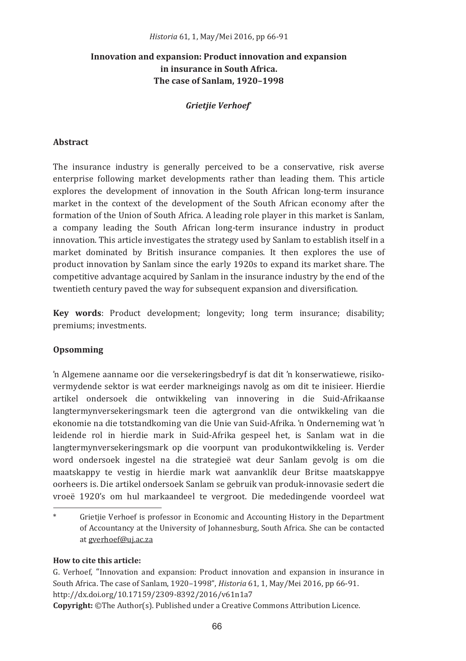# Innovation and expansion: Product innovation and expansion in insurance in South Africa. The case of Sanlam. 1920-1998

# **Grietiie Verhoef**

### Abstract

The insurance industry is generally perceived to be a conservative, risk averse enterprise following market developments rather than leading them. This article explores the development of innovation in the South African long-term insurance market in the context of the development of the South African economy after the formation of the Union of South Africa. A leading role player in this market is Sanlam. a company leading the South African long-term insurance industry in product innovation. This article investigates the strategy used by Sanlam to establish itself in a market dominated by British insurance companies. It then explores the use of product innovation by Sanlam since the early 1920s to expand its market share. The competitive advantage acquired by Sanlam in the insurance industry by the end of the twentieth century paved the way for subsequent expansion and diversification.

Key words: Product development; longevity; long term insurance; disability; premiums; investments.

### Opsomming

'n Algemene aanname oor die versekeringsbedryf is dat dit 'n konserwatiewe, risikovermydende sektor is wat eerder markneigings navolg as om dit te inisieer. Hierdie artikel ondersoek die ontwikkeling van innovering in die Suid-Afrikaanse langtermynversekeringsmark teen die agtergrond van die ontwikkeling van die ekonomie na die totstandkoming van die Unie van Suid-Afrika. 'n Onderneming wat 'n leidende rol in hierdie mark in Suid-Afrika gespeel het, is Sanlam wat in die langtermynversekeringsmark op die voorpunt van produkontwikkeling is. Verder word ondersoek ingestel na die strategieë wat deur Sanlam gevolg is om die maatskappy te vestig in hierdie mark wat aanvanklik deur Britse maatskappye oorheers is. Die artikel ondersoek Sanlam se gebruik van produk-innovasie sedert die vroeë 1920's om hul markaandeel te vergroot. Die mededingende voordeel wat

## How to cite this article:

G. Verhoef. "Innovation and expansion: Product innovation and expansion in insurance in South Africa. The case of Sanlam, 1920-1998", Historia 61, 1, May/Mei 2016, pp 66-91. http://dx.doi.org/10.17159/2309-8392/2016/v61n1a7

**Copyright:** ©The Author(s). Published under a Creative Commons Attribution Licence.

Grietjie Verhoef is professor in Economic and Accounting History in the Department of Accountancy at the University of Johannesburg, South Africa. She can be contacted at gverhoef@uj.ac.za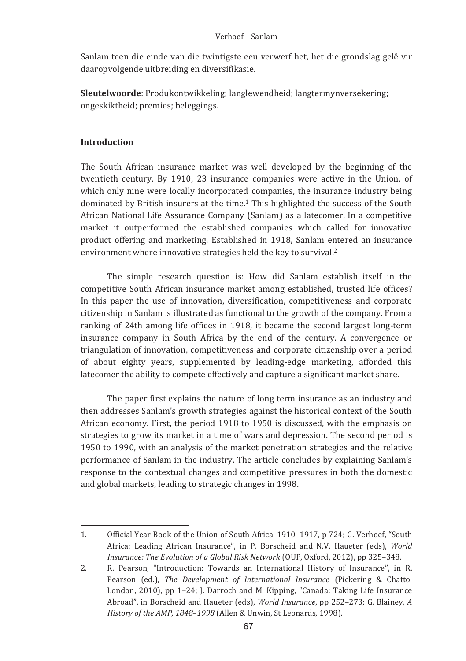Sanlam teen die einde van die twintigste eeu verwerf het, het die grondslag gelê vir daaropvolgende uitbreiding en diversifikasie.

Sleutelwoorde: Produkontwikkeling; langlewendheid; langtermynversekering; ongeskiktheid: premies: beleggings.

## Introduction

The South African insurance market was well developed by the beginning of the twentieth century. By 1910, 23 insurance companies were active in the Union, of which only nine were locally incorporated companies, the insurance industry being dominated by British insurers at the time.<sup>1</sup> This highlighted the success of the South African National Life Assurance Company (Sanlam) as a latecomer. In a competitive market it outperformed the established companies which called for innovative product offering and marketing. Established in 1918, Sanlam entered an insurance environment where innovative strategies held the key to survival.<sup>2</sup>

The simple research question is: How did Sanlam establish itself in the competitive South African insurance market among established, trusted life offices? In this paper the use of innovation, diversification, competitiveness and corporate citizenship in Sanlam is illustrated as functional to the growth of the company. From a ranking of 24th among life offices in 1918, it became the second largest long-term insurance company in South Africa by the end of the century. A convergence or triangulation of innovation, competitiveness and corporate citizenship over a period of about eighty years, supplemented by leading-edge marketing, afforded this latecomer the ability to compete effectively and capture a significant market share.

The paper first explains the nature of long term insurance as an industry and then addresses Sanlam's growth strategies against the historical context of the South African economy. First, the period 1918 to 1950 is discussed, with the emphasis on strategies to grow its market in a time of wars and depression. The second period is 1950 to 1990, with an analysis of the market penetration strategies and the relative performance of Sanlam in the industry. The article concludes by explaining Sanlam's response to the contextual changes and competitive pressures in both the domestic and global markets, leading to strategic changes in 1998.

 $1.$ Official Year Book of the Union of South Africa, 1910-1917, p 724; G. Verhoef, "South Africa: Leading African Insurance", in P. Borscheid and N.V. Haueter (eds), World Insurance: The Evolution of a Global Risk Network (OUP, Oxford, 2012), pp 325-348.

 $2.$ R. Pearson, "Introduction: Towards an International History of Insurance", in R. Pearson (ed.). The Development of International Insurance (Pickering & Chatto, London, 2010), pp 1-24; J. Darroch and M. Kipping, "Canada: Taking Life Insurance Abroad", in Borscheid and Haueter (eds), World Insurance, pp 252-273; G. Blainey, A History of the AMP, 1848-1998 (Allen & Unwin, St Leonards, 1998).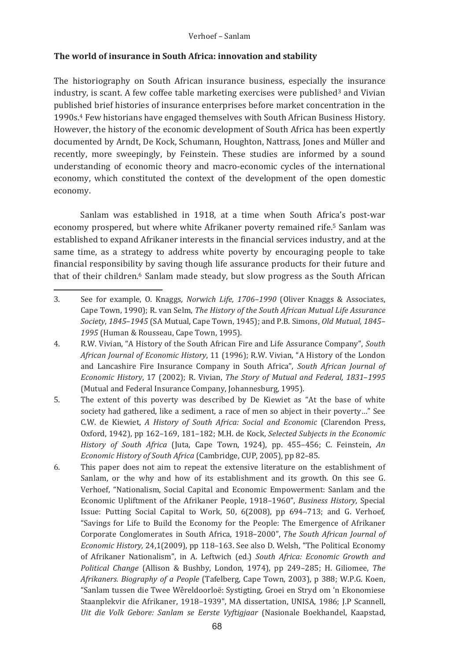### Verhoef - Sanlam

## The world of insurance in South Africa: innovation and stability

The historiography on South African insurance business, especially the insurance industry, is scant. A few coffee table marketing exercises were published<sup>3</sup> and Vivian published brief histories of insurance enterprises before market concentration in the 1990s.<sup>4</sup> Few historians have engaged themselves with South African Business History. However, the history of the economic development of South Africa has been expertly documented by Arndt, De Kock, Schumann, Houghton, Nattrass, Jones and Müller and recently, more sweepingly, by Feinstein. These studies are informed by a sound understanding of economic theory and macro-economic cycles of the international economy, which constituted the context of the development of the open domestic economy.

Sanlam was established in 1918, at a time when South Africa's post-war economy prospered, but where white Afrikaner poverty remained rife.<sup>5</sup> Sanlam was established to expand Afrikaner interests in the financial services industry, and at the same time, as a strategy to address white poverty by encouraging people to take financial responsibility by saving though life assurance products for their future and that of their children.<sup>6</sup> Sanlam made steady, but slow progress as the South African

<sup>3.</sup> See for example, O. Knaggs, Norwich Life, 1706-1990 (Oliver Knaggs & Associates, Cape Town, 1990); R. van Selm, The History of the South African Mutual Life Assurance Society, 1845-1945 (SA Mutual, Cape Town, 1945); and P.B. Simons, Old Mutual, 1845-1995 (Human & Rousseau, Cape Town, 1995).

 $\overline{4}$ R.W. Vivian, "A History of the South African Fire and Life Assurance Company". South African Journal of Economic History, 11 (1996); R.W. Vivian, "A History of the London and Lancashire Fire Insurance Company in South Africa". South African Journal of Economic History, 17 (2002); R. Vivian, The Story of Mutual and Federal, 1831-1995 (Mutual and Federal Insurance Company, Johannesburg, 1995).

<sup>5.</sup> The extent of this poverty was described by De Kiewiet as "At the base of white society had gathered, like a sediment, a race of men so abject in their poverty..." See C.W. de Kiewiet, A History of South Africa: Social and Economic (Clarendon Press, Oxford, 1942), pp 162-169, 181-182; M.H. de Kock, Selected Subjects in the Economic History of South Africa (Juta, Cape Town, 1924), pp. 455-456; C. Feinstein, An Economic History of South Africa (Cambridge, CUP, 2005), pp 82-85.

 $6.$ This paper does not aim to repeat the extensive literature on the establishment of Sanlam, or the why and how of its establishment and its growth. On this see G. Verhoef, "Nationalism, Social Capital and Economic Empowerment: Sanlam and the Economic Upliftment of the Afrikaner People, 1918-1960", Business History, Special Issue: Putting Social Capital to Work, 50, 6(2008), pp 694–713; and G. Verhoef, "Savings for Life to Build the Economy for the People: The Emergence of Afrikaner Corporate Conglomerates in South Africa, 1918-2000", The South African Journal of Economic History, 24,1(2009), pp 118-163. See also D. Welsh, "The Political Economy of Afrikaner Nationalism", in A. Leftwich (ed.) South Africa: Economic Growth and Political Change (Allison & Bushby, London, 1974), pp 249-285; H. Giliomee, The Afrikaners. Biography of a People (Tafelberg, Cape Town, 2003), p 388; W.P.G. Koen, "Sanlam tussen die Twee Wêreldoorloë: Systigting, Groei en Stryd om 'n Ekonomiese Staanplekvir die Afrikaner, 1918-1939", MA dissertation, UNISA, 1986; J.P Scannell, Uit die Volk Gebore: Sanlam se Eerste Vyftigjaar (Nasionale Boekhandel, Kaapstad,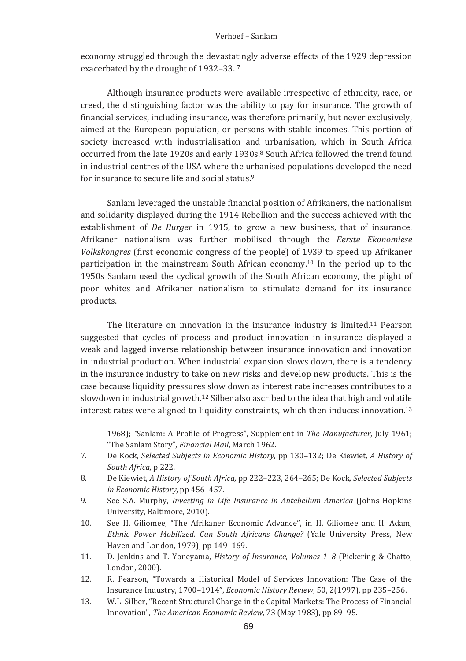#### Verhoef - Sanlam

economy struggled through the devastatingly adverse effects of the 1929 depression exacerbated by the drought of 1932-33.7

Although insurance products were available irrespective of ethnicity, race, or creed, the distinguishing factor was the ability to pay for insurance. The growth of financial services, including insurance, was therefore primarily, but never exclusively, aimed at the European population, or persons with stable incomes. This portion of society increased with industrialisation and urbanisation, which in South Africa occurred from the late 1920s and early 1930s.<sup>8</sup> South Africa followed the trend found in industrial centres of the USA where the urbanised populations developed the need for insurance to secure life and social status.<sup>9</sup>

Sanlam leveraged the unstable financial position of Afrikaners, the nationalism and solidarity displayed during the 1914 Rebellion and the success achieved with the establishment of *De Burger* in 1915, to grow a new business, that of insurance. Afrikaner nationalism was further mobilised through the Eerste Ekonomiese Volkskongres (first economic congress of the people) of 1939 to speed up Afrikaner participation in the mainstream South African economy.<sup>10</sup> In the period up to the 1950s Sanlam used the cyclical growth of the South African economy, the plight of poor whites and Afrikaner nationalism to stimulate demand for its insurance products.

The literature on innovation in the insurance industry is limited.<sup>11</sup> Pearson suggested that cycles of process and product innovation in insurance displayed a weak and lagged inverse relationship between insurance innovation and innovation in industrial production. When industrial expansion slows down, there is a tendency in the insurance industry to take on new risks and develop new products. This is the case because liquidity pressures slow down as interest rate increases contributes to a slowdown in industrial growth.<sup>12</sup> Silber also ascribed to the idea that high and volatile interest rates were aligned to liquidity constraints, which then induces innovation.<sup>13</sup>

1968); "Sanlam: A Profile of Progress", Supplement in The Manufacturer, July 1961; "The Sanlam Story", Financial Mail, March 1962.

- 7. De Kock, Selected Subjects in Economic History, pp 130-132; De Kiewiet, A History of South Africa, p 222.
- 8. De Kiewiet, A History of South Africa, pp 222-223, 264-265; De Kock, Selected Subjects in Economic History, pp 456-457.
- $\mathbf{q}$ See S.A. Murphy, *Investing in Life Insurance in Antebellum America* (Johns Hopkins University, Baltimore, 2010).
- 10. See H. Giliomee, "The Afrikaner Economic Advance", in H. Giliomee and H. Adam, Ethnic Power Mobilized. Can South Africans Change? (Yale University Press, New Haven and London, 1979), pp 149-169.
- $11.$ D. Jenkins and T. Yoneyama, *History of Insurance*, *Volumes 1-8* (Pickering & Chatto, London, 2000).
- R. Pearson, "Towards a Historical Model of Services Innovation: The Case of the 12. Insurance Industry, 1700-1914". Economic History Review, 50, 2(1997), pp 235-256.
- $13.$ W.L. Silber, "Recent Structural Change in the Capital Markets: The Process of Financial Innovation", The American Economic Review, 73 (May 1983), pp 89-95.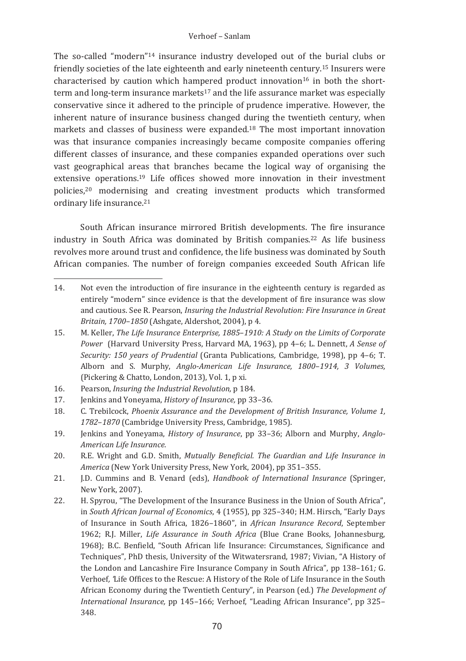The so-called "modern"<sup>14</sup> insurance industry developed out of the burial clubs or friendly societies of the late eighteenth and early nineteenth century.<sup>15</sup> Insurers were characterised by caution which hampered product innovation<sup>16</sup> in both the shortterm and long-term insurance markets<sup>17</sup> and the life assurance market was especially conservative since it adhered to the principle of prudence imperative. However, the inherent nature of insurance business changed during the twentieth century, when markets and classes of business were expanded.<sup>18</sup> The most important innovation was that insurance companies increasingly became composite companies offering different classes of insurance, and these companies expanded operations over such vast geographical areas that branches became the logical way of organising the extensive operations.<sup>19</sup> Life offices showed more innovation in their investment policies,<sup>20</sup> modernising and creating investment products which transformed ordinary life insurance.<sup>21</sup>

South African insurance mirrored British developments. The fire insurance industry in South Africa was dominated by British companies.<sup>22</sup> As life business revolves more around trust and confidence, the life business was dominated by South African companies. The number of foreign companies exceeded South African life

17. Jenkins and Yoneyama, History of Insurance, pp 33-36.

- 21. J.D. Cummins and B. Venard (eds), Handbook of International Insurance (Springer, New York, 2007).
- 22. H. Spyrou, "The Development of the Insurance Business in the Union of South Africa", in South African Journal of Economics, 4 (1955), pp 325-340; H.M. Hirsch, "Early Days of Insurance in South Africa, 1826-1860", in African Insurance Record, September 1962; R.J. Miller, Life Assurance in South Africa (Blue Crane Books, Johannesburg, 1968); B.C. Benfield, "South African life Insurance: Circumstances, Significance and Techniques", PhD thesis, University of the Witwatersrand, 1987; Vivian, "A History of the London and Lancashire Fire Insurance Company in South Africa", pp 138-161; G. Verhoef, Life Offices to the Rescue: A History of the Role of Life Insurance in the South African Economy during the Twentieth Century", in Pearson (ed.) The Development of International Insurance, pp 145-166; Verhoef, "Leading African Insurance", pp 325-348.

<sup>14.</sup> Not even the introduction of fire insurance in the eighteenth century is regarded as entirely "modern" since evidence is that the development of fire insurance was slow and cautious. See R. Pearson, Insuring the Industrial Revolution: Fire Insurance in Great Britain, 1700-1850 (Ashgate, Aldershot, 2004), p 4.

<sup>15.</sup> M. Keller, The Life Insurance Enterprise, 1885-1910: A Study on the Limits of Corporate Power (Harvard University Press, Harvard MA, 1963), pp 4-6; L. Dennett, A Sense of Security: 150 years of Prudential (Granta Publications, Cambridge, 1998), pp 4-6; T. Alborn and S. Murphy, Anglo-American Life Insurance, 1800-1914, 3 Volumes, (Pickering & Chatto, London, 2013), Vol. 1, p xi.

 $16.$ Pearson, *Insuring the Industrial Revolution*, p 184.

<sup>18</sup> C. Trebilcock, Phoenix Assurance and the Development of British Insurance, Volume 1, 1782-1870 (Cambridge University Press, Cambridge, 1985).

<sup>19.</sup> Jenkins and Yoneyama, History of Insurance, pp 33-36; Alborn and Murphy, Anglo-American Life Insurance.

<sup>20.</sup> R.E. Wright and G.D. Smith, Mutually Beneficial. The Guardian and Life Insurance in America (New York University Press, New York, 2004), pp 351-355.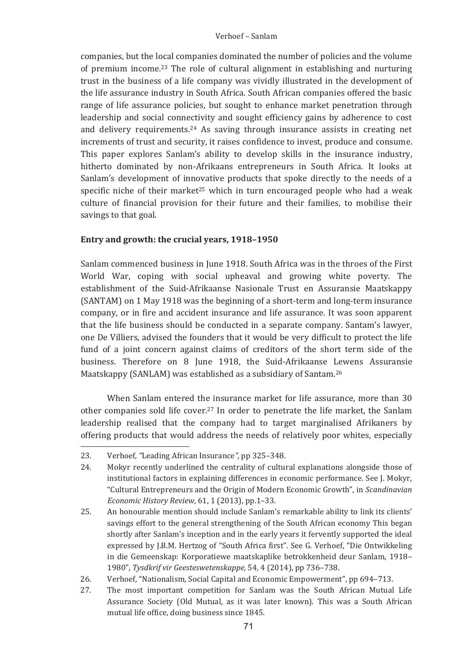### Verhoef - Sanlam

companies, but the local companies dominated the number of policies and the volume of premium income.<sup>23</sup> The role of cultural alignment in establishing and nurturing trust in the business of a life company was vividly illustrated in the development of the life assurance industry in South Africa. South African companies offered the basic range of life assurance policies, but sought to enhance market penetration through leadership and social connectivity and sought efficiency gains by adherence to cost and delivery requirements.<sup>24</sup> As saying through insurance assists in creating net increments of trust and security, it raises confidence to invest, produce and consume. This paper explores Sanlam's ability to develop skills in the insurance industry, hitherto dominated by non-Afrikaans entrepreneurs in South Africa. It looks at Sanlam's development of innovative products that spoke directly to the needs of a specific niche of their market<sup>25</sup> which in turn encouraged people who had a weak culture of financial provision for their future and their families, to mobilise their savings to that goal.

## Entry and growth: the crucial vears, 1918-1950

Sanlam commenced business in June 1918. South Africa was in the throes of the First World War, coping with social upheaval and growing white poverty. The establishment of the Suid-Afrikaanse Nasionale Trust en Assuransie Maatskappy (SANTAM) on 1 May 1918 was the beginning of a short-term and long-term insurance company, or in fire and accident insurance and life assurance. It was soon apparent that the life business should be conducted in a separate company. Santam's lawyer, one De Villiers, advised the founders that it would be very difficult to protect the life fund of a joint concern against claims of creditors of the short term side of the business. Therefore on 8 June 1918, the Suid-Afrikaanse Lewens Assuransie Maatskappy (SANLAM) was established as a subsidiary of Santam.<sup>26</sup>

When Sanlam entered the insurance market for life assurance, more than 30 other companies sold life cover.<sup>27</sup> In order to penetrate the life market, the Sanlam leadership realised that the company had to target marginalised Afrikaners by offering products that would address the needs of relatively poor whites, especially

<sup>23.</sup> Verhoef, "Leading African Insurance", pp 325-348.

 $24.$ Mokyr recently underlined the centrality of cultural explanations alongside those of institutional factors in explaining differences in economic performance. See J. Mokyr, "Cultural Entrepreneurs and the Origin of Modern Economic Growth", in Scandinavian Economic History Review, 61, 1 (2013), pp.1-33.

 $2.5.$ An honourable mention should include Sanlam's remarkable ability to link its clients' savings effort to the general strengthening of the South African economy This began shortly after Sanlam's inception and in the early years it fervently supported the ideal expressed by J.B.M. Hertzog of "South Africa first". See G. Verhoef, "Die Ontwikkeling in die Gemeenskap: Korporatiewe maatskaplike betrokkenheid deur Sanlam, 1918-1980", Tysdkrif vir Geesteswetenskappe, 54, 4 (2014), pp 736-738.

Verhoef, "Nationalism, Social Capital and Economic Empowerment", pp 694-713. 26.

<sup>27.</sup> The most important competition for Sanlam was the South African Mutual Life Assurance Society (Old Mutual, as it was later known). This was a South African mutual life office, doing business since 1845.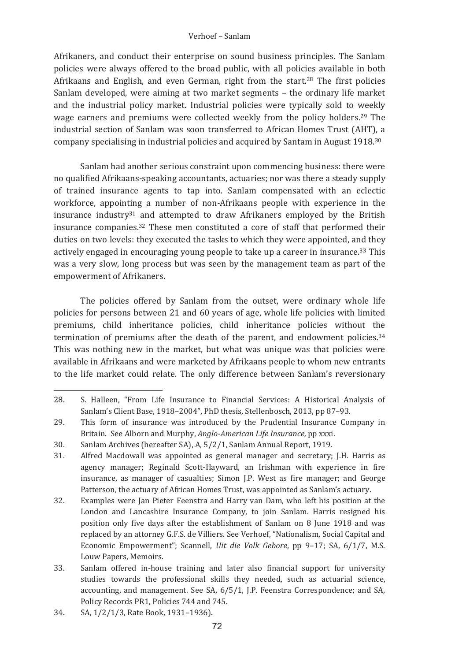Afrikaners, and conduct their enterprise on sound business principles. The Sanlam policies were always offered to the broad public, with all policies available in both Afrikaans and English, and even German, right from the start.<sup>28</sup> The first policies Sanlam developed, were aiming at two market segments - the ordinary life market and the industrial policy market. Industrial policies were typically sold to weekly wage earners and premiums were collected weekly from the policy holders.<sup>29</sup> The industrial section of Sanlam was soon transferred to African Homes Trust (AHT), a company specialising in industrial policies and acquired by Santam in August 1918.30

Sanlam had another serious constraint upon commencing business: there were no qualified Afrikaans-speaking accountants, actuaries; nor was there a steady supply of trained insurance agents to tap into. Sanlam compensated with an eclectic workforce, appointing a number of non-Afrikaans people with experience in the insurance industry<sup>31</sup> and attempted to draw Afrikaners employed by the British insurance companies.<sup>32</sup> These men constituted a core of staff that performed their duties on two levels; they executed the tasks to which they were appointed, and they actively engaged in encouraging young people to take up a career in insurance.<sup>33</sup> This was a very slow, long process but was seen by the management team as part of the empowerment of Afrikaners.

The policies offered by Sanlam from the outset, were ordinary whole life policies for persons between 21 and 60 years of age, whole life policies with limited premiums, child inheritance policies, child inheritance policies without the termination of premiums after the death of the parent, and endowment policies.<sup>34</sup> This was nothing new in the market, but what was unique was that policies were available in Afrikaans and were marketed by Afrikaans people to whom new entrants to the life market could relate. The only difference between Sanlam's reversionary

- 32. Examples were Jan Pieter Feenstra and Harry van Dam, who left his position at the London and Lancashire Insurance Company, to join Sanlam. Harris resigned his position only five days after the establishment of Sanlam on 8 June 1918 and was replaced by an attorney G.F.S. de Villiers. See Verhoef, "Nationalism, Social Capital and Economic Empowerment"; Scannell, Uit die Volk Gebore, pp 9-17; SA, 6/1/7, M.S. Louw Papers, Memoirs.
- 33. Sanlam offered in-house training and later also financial support for university studies towards the professional skills they needed, such as actuarial science, accounting, and management. See SA, 6/5/1, J.P. Feenstra Correspondence; and SA. Policy Records PR1, Policies 744 and 745.

<sup>28.</sup> S. Halleen, "From Life Insurance to Financial Services: A Historical Analysis of Sanlam's Client Base, 1918-2004", PhD thesis, Stellenbosch, 2013, pp 87-93.

This form of insurance was introduced by the Prudential Insurance Company in 29. Britain. See Alborn and Murphy, Anglo-American Life Insurance, pp xxxi.

<sup>30.</sup> Sanlam Archives (hereafter SA), A, 5/2/1, Sanlam Annual Report, 1919.

<sup>31.</sup> Alfred Macdowall was appointed as general manager and secretary; J.H. Harris as agency manager; Reginald Scott-Hayward, an Irishman with experience in fire insurance, as manager of casualties; Simon J.P. West as fire manager; and George Patterson, the actuary of African Homes Trust, was appointed as Sanlam's actuary.

<sup>34.</sup> SA, 1/2/1/3, Rate Book, 1931-1936).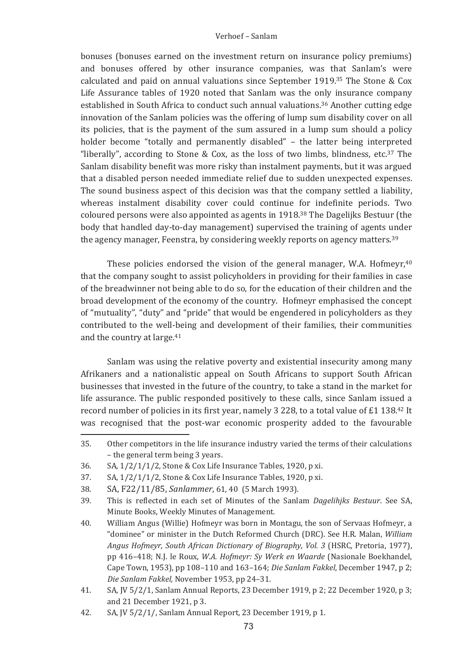bonuses (bonuses earned on the investment return on insurance policy premiums) and bonuses offered by other insurance companies, was that Sanlam's were calculated and paid on annual valuations since September 1919.<sup>35</sup> The Stone & Cox Life Assurance tables of 1920 noted that Sanlam was the only insurance company established in South Africa to conduct such annual valuations.<sup>36</sup> Another cutting edge innovation of the Sanlam policies was the offering of lump sum disability cover on all its policies, that is the payment of the sum assured in a lump sum should a policy holder become "totally and permanently disabled" – the latter being interpreted "liberally", according to Stone & Cox, as the loss of two limbs, blindness, etc.<sup>37</sup> The Sanlam disability benefit was more risky than instalment payments, but it was argued that a disabled person needed immediate relief due to sudden unexpected expenses. The sound business aspect of this decision was that the company settled a flability, whereas instalment disability cover could continue for indefinite periods. Two coloured persons were also appointed as agents in 1918.<sup>38</sup> The Dagelijks Bestuur (the body that handled day-to-day management) supervised the training of agents under the agency manager, Feenstra, by considering weekly reports on agency matters.<sup>39</sup>

These policies endorsed the vision of the general manager, W.A. Hofmeyr,  $40$ that the company sought to assist policyholders in providing for their families in case of the breadwinner not being able to do so, for the education of their children and the broad development of the economy of the country. Hofmeyr emphasised the concept of "mutuality", "duty" and "pride" that would be engendered in policyholders as they contributed to the well-being and development of their families, their communities and the country at large.<sup>41</sup>

Sanlam was using the relative poverty and existential insecurity among many Afrikaners and a nationalistic appeal on South Africans to support South African businesses that invested in the future of the country, to take a stand in the market for life assurance. The public responded positively to these calls, since Sanlam issued a record number of policies in its first year, namely 3 228, to a total value of £1 138.<sup>42</sup> It was recognised that the post-war economic prosperity added to the favourable

<sup>35.</sup> Other competitors in the life insurance industry varied the terms of their calculations – the general term being 3 years.

<sup>36.</sup> SA, 1/2/1/1/2, Stone & Cox Life Insurance Tables, 1920, p xi.

<sup>37.</sup> SA, 1/2/1/1/2, Stone & Cox Life Insurance Tables, 1920, p xi.

<sup>38.</sup> SA, F22/11/85, *Sanlammer*, 61, 40 (5 March 1993).<br>39 This is reflected in each set of Minutes of the Sanla

<sup>39.</sup> This is reflected in each set of Minutes of the Sanlam Dagelihjks Bestuur. See SA, Minute Books, Weekly Minutes of Management.

<sup>40.</sup> lliam Angus (Willie) Hofmeyr was born in Montagu, the son of Servaas Hofmeyr, a "dominee" or minister in the Dutch Reformed Church (DRC). See H.R. Malan, *William Angus�Hofmeyr,�South�African�Dictionary� of�BiographyVol.� 3* pp 416-418; N.J. le Roux, *W.A. Hofmeyr: Sy Werk en Waarde* (Nasionale Boekhandel, Cape Town. 1953), pp 108-110 and 163-164; *Die Sanlam Fakkel*. December 1947, p 2: Die Sanlam Fakkel, November 1953, pp 24-31.

<sup>41.</sup> SA, JV 5/2/1, Sanlam Annual Reports, 23 December 1919, p 2; 22 December 1920, p 3; and 21 December 1921, p 3.

<sup>42.</sup> SA, JV 5/2/1/, Sanlam Annual Report, 23 December 1919, p 1.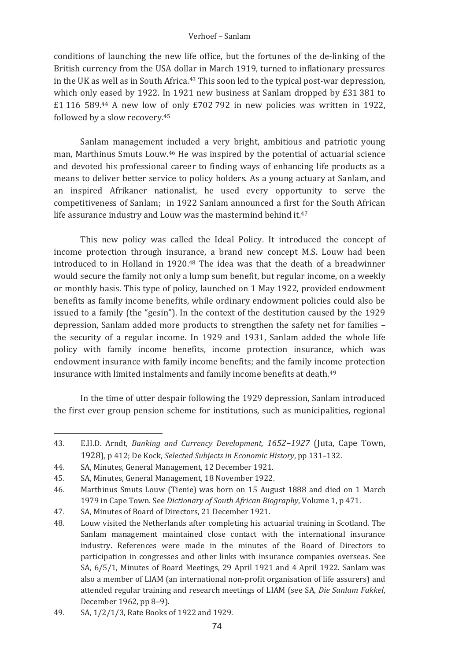#### Verhoef - Sanlam

conditions of launching the new life office, but the fortunes of the de-linking of the British currency from the USA dollar in March 1919, turned to inflationary pressures in the UK as well as in South Africa.<sup>43</sup> This soon led to the typical post-war depression. which only eased by 1922. In 1921 new business at Sanlam dropped by  $E31$  381 to £1 116 589.44 A new low of only £702 792 in new policies was written in 1922, followed by a slow recovery.<sup>45</sup>

Sanlam management included a very bright, ambitious and patriotic young man, Marthinus Smuts Louw.<sup>46</sup> He was inspired by the potential of actuarial science and devoted his professional career to finding ways of enhancing life products as a means to deliver better service to policy holders. As a young actuary at Sanlam, and an inspired Afrikaner nationalist, he used every opportunity to serve the competitiveness of Sanlam: in 1922 Sanlam announced a first for the South African life assurance industry and Louw was the mastermind behind it.<sup>47</sup>

This new policy was called the Ideal Policy. It introduced the concept of income protection through insurance, a brand new concept M.S. Louw had been introduced to in Holland in 1920.<sup>48</sup> The idea was that the death of a breadwinner would secure the family not only a lump sum benefit, but regular income, on a weekly or monthly basis. This type of policy, launched on 1 May 1922, provided endowment benefits as family income benefits, while ordinary endowment policies could also be issued to a family (the "gesin"). In the context of the destitution caused by the 1929 depression, Sanlam added more products to strengthen the safety net for families the security of a regular income. In 1929 and 1931, Sanlam added the whole life policy with family income benefits, income protection insurance, which was endowment insurance with family income benefits; and the family income protection insurance with limited instalments and family income benefits at death.<sup>49</sup>

In the time of utter despair following the 1929 depression, Sanlam introduced the first ever group pension scheme for institutions, such as municipalities, regional

<sup>43</sup> E.H.D. Arndt, Banking and Currency Development, 1652-1927 (Juta, Cape Town, 1928), p 412: De Kock, Selected Subjects in Economic History, pp 131-132.

 $44<sub>1</sub>$ SA, Minutes, General Management, 12 December 1921.

<sup>45.</sup> SA, Minutes, General Management, 18 November 1922.

 $46.$ Marthinus Smuts Louw (Tienie) was born on 15 August 1888 and died on 1 March 1979 in Cape Town. See Dictionary of South African Biography, Volume 1, p 471.

<sup>47.</sup> SA, Minutes of Board of Directors, 21 December 1921.

<sup>48.</sup> Louw visited the Netherlands after completing his actuarial training in Scotland. The Sanlam management maintained close contact with the international insurance industry. References were made in the minutes of the Board of Directors to participation in congresses and other links with insurance companies overseas. See SA, 6/5/1. Minutes of Board Meetings, 29 April 1921 and 4 April 1922. Sanlam was also a member of LIAM (an international non-profit organisation of life assurers) and attended regular training and research meetings of LIAM (see SA, Die Sanlam Fakkel, December 1962, pp 8-9).

<sup>49.</sup> SA, 1/2/1/3, Rate Books of 1922 and 1929.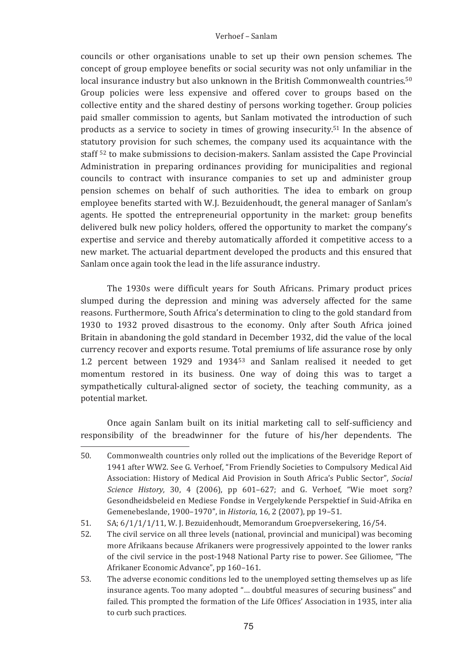councils or other organisations unable to set up their own pension schemes. The concept of group employee benefits or social security was not only unfamiliar in the local insurance industry but also unknown in the British Commonwealth countries.<sup>50</sup> Group policies were less expensive and offered cover to groups based on the collective entity and the shared destiny of persons working together. Group policies paid smaller commission to agents, but Sanlam motivated the introduction of such products as a service to society in times of growing insecurity.<sup>51</sup> In the absence of statutory provision for such schemes, the company used its acquaintance with the staff <sup>52</sup> to make submissions to decision-makers. Sanlam assisted the Cape Provincial Administration in preparing ordinances providing for municipalities and regional councils to contract with insurance companies to set up and administer group pension schemes on behalf of such authorities. The idea to embark on group employee benefits started with W.J. Bezuidenhoudt, the general manager of Sanlam's agents. He spotted the entrepreneurial opportunity in the market: group benefits delivered bulk new policy holders, offered the opportunity to market the company's expertise and service and thereby automatically afforded it competitive access to a new market. The actuarial department developed the products and this ensured that Sanlam once again took the lead in the life assurance industry.

The 1930s were difficult years for South Africans. Primary product prices slumped during the depression and mining was adversely affected for the same reasons. Furthermore, South Africa's determination to cling to the gold standard from 1930 to 1932 proved disastrous to the economy. Only after South Africa joined Britain in abandoning the gold standard in December 1932, did the value of the local currency recover and exports resume. Total premiums of life assurance rose by only 1.2 percent between 1929 and 1934<sup>53</sup> and Sanlam realised it needed to get momentum restored in its business. One way of doing this was to target a sympathetically cultural-aligned sector of society, the teaching community, as a potential market.

Once again Sanlam built on its initial marketing call to self-sufficiency and responsibility of the breadwinner for the future of his/her dependents. The

 $50.$ Commonwealth countries only rolled out the implications of the Beveridge Report of 1941 after WW2. See G. Verhoef, "From Friendly Societies to Compulsory Medical Aid Association: History of Medical Aid Provision in South Africa's Public Sector", Social Science History, 30, 4 (2006), pp  $601-627$ ; and G, Verhoef. "Wie moet sorg? Gesondheidsbeleid en Mediese Fondse in Vergelykende Perspektief in Suid-Afrika en Gemenebeslande, 1900-1970", in Historia, 16, 2 (2007), pp 19-51.

<sup>51.</sup> SA; 6/1/1/1/11, W. J. Bezuidenhoudt, Memorandum Groepversekering, 16/54.

<sup>52.</sup> The civil service on all three levels (national, provincial and municipal) was becoming more Afrikaans because Afrikaners were progressively appointed to the lower ranks of the civil service in the post-1948 National Party rise to power. See Giliomee, "The Afrikaner Economic Advance", pp 160-161.

<sup>53.</sup> The adverse economic conditions led to the unemployed setting themselves up as life insurance agents. Too many adopted "... doubtful measures of securing business" and failed. This prompted the formation of the Life Offices' Association in 1935, inter alia to curb such practices.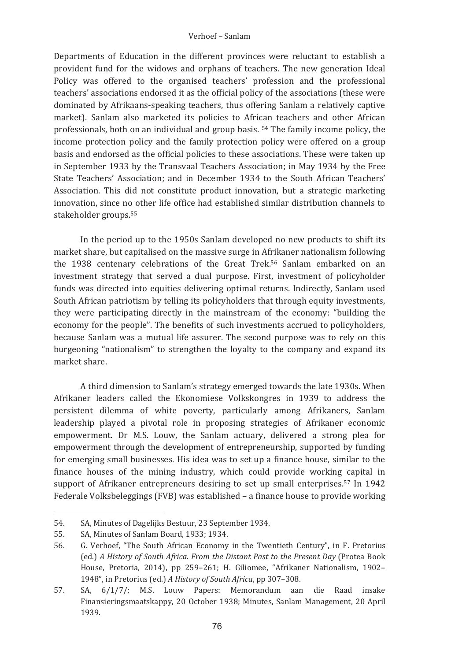Departments of Education in the different provinces were reluctant to establish a provident fund for the widows and orphans of teachers. The new generation Ideal Policy was offered to the organised teachers' profession and the professional teachers' associations endorsed it as the official policy of the associations (these were dominated by Afrikaans-speaking teachers, thus offering Sanlam a relatively captive market). Sanlam also marketed its policies to African teachers and other African professionals, both on an individual and group basis, <sup>54</sup> The family income policy, the income protection policy and the family protection policy were offered on a group basis and endorsed as the official policies to these associations. These were taken up in September 1933 by the Transvaal Teachers Association: in May 1934 by the Free State Teachers' Association: and in December 1934 to the South African Teachers' Association. This did not constitute product innovation, but a strategic marketing innovation, since no other life office had established similar distribution channels to stakeholder groups.<sup>55</sup>

In the period up to the 1950s Sanlam developed no new products to shift its market share, but capitalised on the massive surge in Afrikaner nationalism following the 1938 centenary celebrations of the Great Trek.<sup>56</sup> Sanlam embarked on an investment strategy that served a dual purpose. First, investment of policyholder funds was directed into equities delivering optimal returns. Indirectly, Sanlam used South African patriotism by telling its policyholders that through equity investments, they were participating directly in the mainstream of the economy: "building the economy for the people". The benefits of such investments accrued to policyholders, because Sanlam was a mutual life assurer. The second purpose was to rely on this burgeoning "nationalism" to strengthen the lovalty to the company and expand its market share.

A third dimension to Sanlam's strategy emerged towards the late 1930s. When Afrikaner leaders called the Ekonomiese Volkskongres in 1939 to address the persistent dilemma of white poverty, particularly among Afrikaners, Sanlam leadership played a pivotal role in proposing strategies of Afrikaner economic empowerment. Dr M.S. Louw, the Sanlam actuary, delivered a strong plea for empowerment through the development of entrepreneurship, supported by funding for emerging small businesses. His idea was to set up a finance house, similar to the finance houses of the mining industry, which could provide working capital in support of Afrikaner entrepreneurs desiring to set up small enterprises.<sup>57</sup> In 1942 Federale Volksbeleggings (FVB) was established - a finance house to provide working

<sup>54.</sup> SA, Minutes of Dagelijks Bestuur, 23 September 1934.

<sup>55.</sup> SA, Minutes of Sanlam Board, 1933; 1934.

<sup>56.</sup> G. Verhoef, "The South African Economy in the Twentieth Century", in F. Pretorius (ed.) A History of South Africa. From the Distant Past to the Present Day (Protea Book House, Pretoria, 2014), pp 259-261; H. Giliomee, "Afrikaner Nationalism, 1902-1948", in Pretorius (ed.) A History of South Africa, pp 307-308.

<sup>57.</sup> SA. 6/1/7/: M.S. Louw Papers: Memorandum aan die Raad insake Finansieringsmaatskappy, 20 October 1938; Minutes, Sanlam Management, 20 April 1939.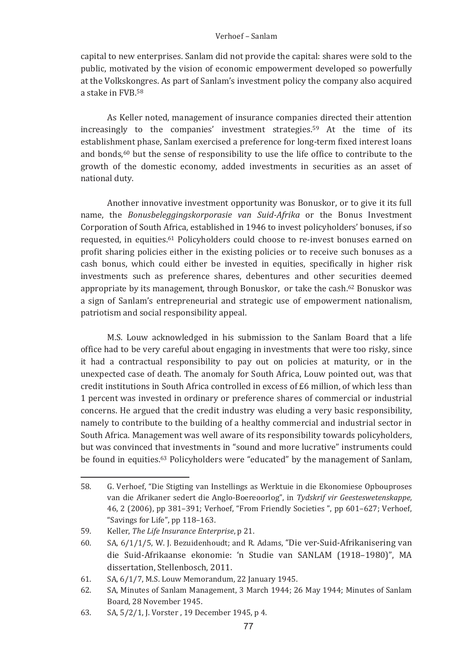### Verhoef - Sanlam

capital to new enterprises. Sanlam did not provide the capital: shares were sold to the public, motivated by the vision of economic empowerment developed so powerfully at the Volkskongres. As part of Sanlam's investment policy the company also acquired a stake in FVB.58

As Keller noted, management of insurance companies directed their attention increasingly to the companies' investment strategies.<sup>59</sup> At the time of its establishment phase, Sanlam exercised a preference for long-term fixed interest loans and bonds,<sup>60</sup> but the sense of responsibility to use the life office to contribute to the growth of the domestic economy, added investments in securities as an asset of national duty.

Another innovative investment opportunity was Bonuskor, or to give it its full name, the Bonusbeleggingskorporasie van Suid-Afrika or the Bonus Investment Corporation of South Africa, established in 1946 to invest policyholders' bonuses, if so requested, in equities, <sup>61</sup> Policyholders could choose to re-invest bonuses earned on profit sharing policies either in the existing policies or to receive such bonuses as a cash bonus, which could either be invested in equities, specifically in higher risk investments such as preference shares, debentures and other securities deemed appropriate by its management, through Bonuskor, or take the cash.<sup>62</sup> Bonuskor was a sign of Sanlam's entrepreneurial and strategic use of empowerment nationalism, patriotism and social responsibility appeal.

M.S. Louw acknowledged in his submission to the Sanlam Board that a life office had to be very careful about engaging in investments that were too risky, since it had a contractual responsibility to pay out on policies at maturity, or in the unexpected case of death. The anomaly for South Africa. Louw pointed out, was that credit institutions in South Africa controlled in excess of £6 million, of which less than 1 percent was invested in ordinary or preference shares of commercial or industrial concerns. He argued that the credit industry was eluding a very basic responsibility, namely to contribute to the building of a healthy commercial and industrial sector in South Africa. Management was well aware of its responsibility towards policyholders, but was convinced that investments in "sound and more lucrative" instruments could be found in equities.<sup>63</sup> Policyholders were "educated" by the management of Sanlam,

<sup>58.</sup> G. Verhoef. "Die Stigting van Instellings as Werktuie in die Ekonomiese Opbouproses van die Afrikaner sedert die Anglo-Boereoorlog", in Tydskrif vir Geesteswetenskappe, 46, 2 (2006), pp 381-391; Verhoef, "From Friendly Societies", pp 601-627; Verhoef, "Savings for Life", pp 118-163.

<sup>59.</sup> Keller, The Life Insurance Enterprise, p 21.

SA, 6/1/1/5, W. J. Bezuidenhoudt; and R. Adams, "Die ver-Suid-Afrikanisering van 60. die Suid-Afrikaanse ekonomie: 'n Studie van SANLAM (1918-1980)". MA dissertation, Stellenbosch, 2011.

SA, 6/1/7, M.S. Louw Memorandum, 22 January 1945. 61.

<sup>62.</sup> SA. Minutes of Sanlam Management, 3 March 1944; 26 May 1944; Minutes of Sanlam Board, 28 November 1945.

<sup>63.</sup> SA, 5/2/1, J. Vorster, 19 December 1945, p 4.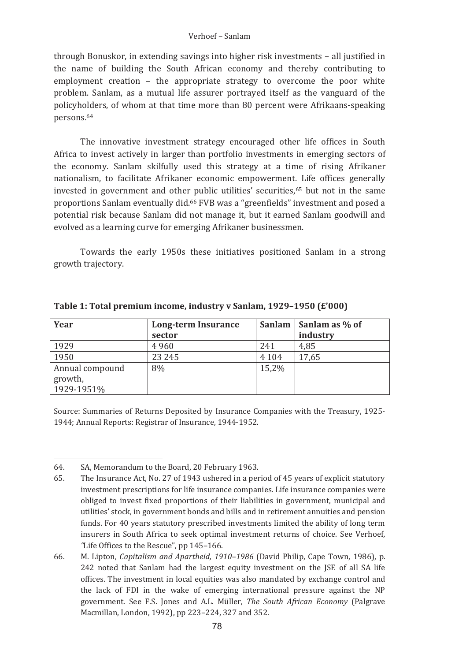through Bonuskor, in extending savings into higher risk investments - all justified in the name of building the South African economy and thereby contributing to employment creation - the appropriate strategy to overcome the poor white problem. Sanlam, as a mutual life assurer portraved itself as the vanguard of the policyholders, of whom at that time more than 80 percent were Afrikaans-speaking persons.<sup>64</sup>

The innovative investment strategy encouraged other life offices in South Africa to invest actively in larger than portfolio investments in emerging sectors of the economy. Sanlam skilfully used this strategy at a time of rising Afrikaner nationalism, to facilitate Afrikaner economic empowerment. Life offices generally invested in government and other public utilities' securities,<sup>65</sup> but not in the same proportions Sanlam eventually did.<sup>66</sup> FVB was a "greenfields" investment and posed a potential risk because Sanlam did not manage it, but it earned Sanlam goodwill and evolved as a learning curve for emerging Afrikaner businessmen.

Towards the early 1950s these initiatives positioned Sanlam in a strong growth trajectory.

| Year                       | Long-term Insurance |         | Sanlam   Sanlam as % of |  |
|----------------------------|---------------------|---------|-------------------------|--|
|                            | sector              |         | industry                |  |
| 1929                       | 4960                | 241     | 4.85                    |  |
| 1950                       | 23 245              | 4 1 0 4 | 17.65                   |  |
| Annual compound<br>growth, | 8%                  | 15.2%   |                         |  |
| 1929-1951%                 |                     |         |                         |  |

Table 1: Total premium income, industry y Sanlam, 1929-1950 (£'000)

Source: Summaries of Returns Deposited by Insurance Companies with the Treasury, 1925-1944; Annual Reports: Registrar of Insurance, 1944-1952.

<sup>64.</sup> SA, Memorandum to the Board, 20 February 1963.

<sup>65.</sup> The Insurance Act. No. 27 of 1943 ushered in a period of 45 years of explicit statutory investment prescriptions for life insurance companies. Life insurance companies were obliged to invest fixed proportions of their liabilities in government, municipal and utilities' stock, in government bonds and bills and in retirement annuities and pension funds. For 40 years statutory prescribed investments limited the ability of long term insurers in South Africa to seek optimal investment returns of choice. See Verhoef, "Life Offices to the Rescue", pp 145-166.

<sup>66.</sup> M. Lipton, Capitalism and Apartheid, 1910–1986 (David Philip, Cape Town, 1986), p. 242 noted that Sanlam had the largest equity investment on the ISE of all SA life offices. The investment in local equities was also mandated by exchange control and the lack of FDI in the wake of emerging international pressure against the NP government. See F.S. Jones and A.L. Müller, The South African Economy (Palgrave Macmillan, London, 1992), pp 223-224, 327 and 352.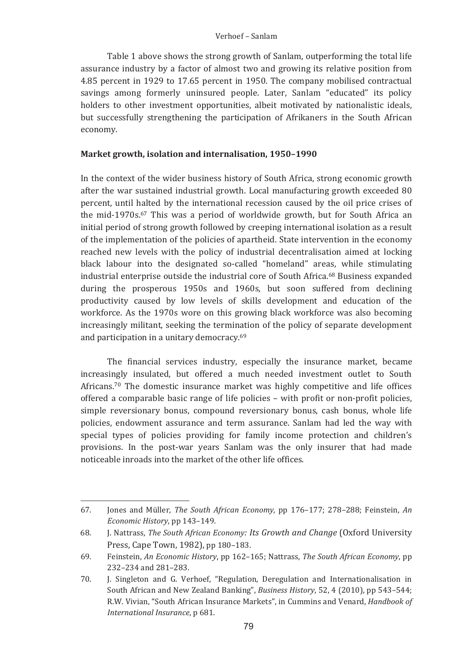Table I above shows the strong growth of Sanlam, outperforming the total life assurance industry by a factor of almost two and growing its relative position from 4.85 percent in 1929 to 17.65 percent in 1950. The company mobilised contractual savings among formerly uninsured people. Later, Sanlam "educated" its policy holders to other investment opportunities, albeit motivated by nationalistic ideals, but successfully strengthening the participation of Afrikaners in the South African economy.

### Market growth, isolation and internalisation, 1950–1990

In the context of the wider business history of South Africa, strong economic growth after the war sustained industrial growth. Local manufacturing growth exceeded 80 percent, until halted by the international recession caused by the oil price crises of the mid-1970s.<sup>67</sup> This was a period of worldwide growth, but for South Africa an initial period of strong growth followed by creeping international isolation as a result of the implementation of the policies of apartheid. State intervention in the economy reached new levels with the policy of industrial decentralisation aimed at locking black labour into the designated so-called "homeland" areas, while stimulating industrial enterprise outside the industrial core of South Africa.<sup>68</sup> Business expanded during the prosperous 1950s and 1960s, but soon suffered from declining productivity caused by low levels of skills development and education of the workforce. As the 1970s wore on this growing black workforce was also becoming increasingly militant, seeking the termination of the policy of separate development and participation in a unitary democracy.<sup>69</sup>

The financial services industry, especially the insurance market, became increasingly insulated, but offered a much needed investment outlet to South Africans.<sup>70</sup> The domestic insurance market was highly competitive and life offices offered a comparable basic range of life policies – with profit or non-profit policies, simple reversionary bonus, compound reversionary bonus, cash bonus, whole life policies, endowment assurance and term assurance. Sanlam had led the way with special types of policies providing for family income protection and children's provisions. In the post-war years Sanlam was the only insurer that had made noticeable inroads into the market of the other life offices.

<sup>67.</sup> Jones and Müller, *The South African Economy*, pp 176-177; 278-288; Feinstein, An *Economic History*, pp 143-149.

<sup>68.</sup> J. Nattrass, *The South African Economy: Its Growth and Change* (Oxford University Press, Cape Town, 1982), pp 180-183.

<sup>69.</sup> Feinstein, An Economic History, pp 162-165; Nattrass, The South African Economy, pp  $232 - 234$  and  $281 - 283$ .

<sup>70.</sup> J. Singleton and G. Verhoef, "Regulation, Deregulation and Internationalisation in South African and New Zealand Banking", Business History, 52, 4 (2010), pp 543-544; R.W. Vivian, "South African Insurance Markets", in Cummins and Venard, *Handbook of International Insurance*, p.681.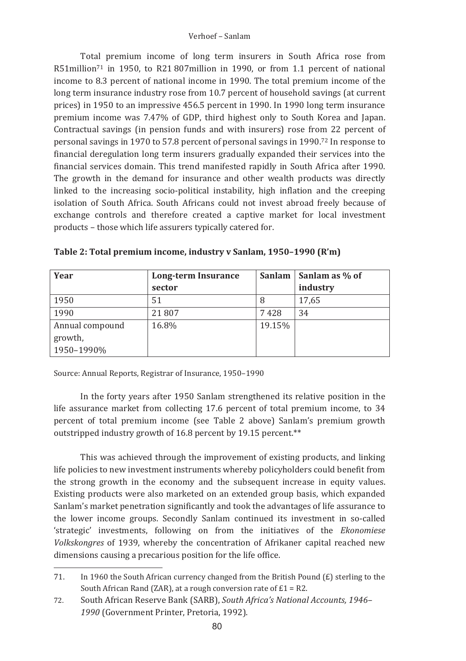Total premium income of long term insurers in South Africa rose from  $R51$ million $^{71}$  in 1950, to R21 807 million in 1990, or from 1.1 percent of national income to 8.3 percent of national income in 1990. The total premium income of the long term insurance industry rose from 10.7 percent of household savings (at current prices) in 1950 to an impressive 456.5 percent in 1990. In 1990 long term insurance premium income was 7.47% of GDP, third highest only to South Korea and Japan. Contractual savings (in pension funds and with insurers) rose from  $22$  percent of personal savings in 1970 to 57.8 percent of personal savings in 1990.<sup>72</sup> In response to financial deregulation long term insurers gradually expanded their services into the financial services domain. This trend manifested rapidly in South Africa after 1990. The growth in the demand for insurance and other wealth products was directly  $\lim$  and the increasing socio-political instability, high inflation and the creeping isolation of South Africa. South Africans could not invest abroad freely because of exchange controls and therefore created a captive market for local investment products - those which life assurers typically catered for.

| Year            | Long-term Insurance | Sanlam | Sanlam as % of |  |
|-----------------|---------------------|--------|----------------|--|
|                 | sector              |        | industry       |  |
| 1950            | 51                  | 8      | 17,65          |  |
| 1990            | 21807               | 7428   | 34             |  |
| Annual compound | 16.8%               | 19.15% |                |  |
| growth,         |                     |        |                |  |
| 1950-1990%      |                     |        |                |  |

|  |  | Table 2: Total premium income, industry v Sanlam, 1950-1990 (R'm) |  |
|--|--|-------------------------------------------------------------------|--|
|--|--|-------------------------------------------------------------------|--|

Source: Annual Reports, Registrar of Insurance, 1950–1990

In the forty years after 1950 Sanlam strengthened its relative position in the life assurance market from collecting 17.6 percent of total premium income, to 34 percent of total premium income (see Table 2 above) Sanlam's premium growth outstripped industry growth of 16.8 percent by 19.15 percent.\*\*

This was achieved through the improvement of existing products, and linking life policies to new investment instruments whereby policyholders could benefit from the strong growth in the economy and the subsequent increase in equity values. Existing products were also marketed on an extended group basis, which expanded Sanlam's market penetration significantly and took the advantages of life assurance to the lower income groups. Secondly Sanlam continued its investment in so-called 'strategic' investments, following on from the initiatives of the Ekonomiese Volkskongres of 1939, whereby the concentration of Afrikaner capital reached new dimensions causing a precarious position for the life office.

<sup>71.</sup> In 1960 the South African currency changed from the British Pound (£) sterling to the South African Rand (ZAR), at a rough conversion rate of  $E1 = R2$ .

<sup>72.</sup> South African Reserve Bank (SARB), *South Africa's National Accounts, 1946–* 1990 (Government Printer, Pretoria, 1992).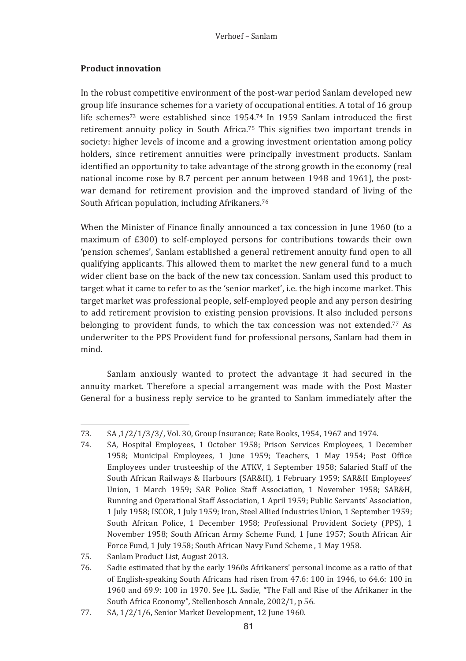# **Product innovation**

In the robust competitive environment of the post-war period Sanlam developed new group life insurance schemes for a variety of occupational entities. A total of 16 group life schemes<sup>73</sup> were established since 1954.<sup>74</sup> In 1959 Sanlam introduced the first retirement annuity policy in South Africa.<sup>75</sup> This signifies two important trends in society: higher levels of income and a growing investment orientation among policy holders, since retirement annuities were principally investment products. Sanlam identified an opportunity to take advantage of the strong growth in the economy (real national income rose by 8.7 percent per annum between 1948 and 1961), the postwar demand for retirement provision and the improved standard of living of the South African population, including Afrikaners.<sup>76</sup>

When the Minister of Finance finally announced a tax concession in June 1960 (to a maximum of £300) to self-employed persons for contributions towards their own 'pension schemes', Sanlam established a general retirement annuity fund open to all qualifying applicants. This allowed them to market the new general fund to a much wider client base on the back of the new tax concession. Sanlam used this product to target what it came to refer to as the 'senior market', i.e. the high income market. This target market was professional people, self-employed people and any person desiring to add retirement provision to existing pension provisions. It also included persons belonging to provident funds, to which the tax concession was not extended.<sup>77</sup> As underwriter to the PPS Provident fund for professional persons, Sanlam had them in mind

Sanlam anxiously wanted to protect the advantage it had secured in the annuity market. Therefore a special arrangement was made with the Post Master General for a business reply service to be granted to Sanlam immediately after the

<sup>73.</sup> SA, 1/2/1/3/3/, Vol. 30, Group Insurance; Rate Books, 1954, 1967 and 1974.

<sup>74.</sup> SA, Hospital Employees, 1 October 1958; Prison Services Employees, 1 December 1958: Municipal Employees, 1 June 1959: Teachers, 1 May 1954: Post Office Employees under trusteeship of the ATKV, 1 September 1958; Salaried Staff of the South African Railways & Harbours (SAR&H), 1 February 1959; SAR&H Employees' Union, 1 March 1959; SAR Police Staff Association, 1 November 1958; SAR&H. Running and Operational Staff Association, 1 April 1959; Public Servants' Association, 1 July 1958; ISCOR, 1 July 1959; Iron, Steel Allied Industries Union, 1 September 1959; South African Police, 1 December 1958; Professional Provident Society (PPS), 1 November 1958; South African Army Scheme Fund, 1 June 1957; South African Air Force Fund, 1 July 1958; South African Navy Fund Scheme, 1 May 1958.

<sup>75.</sup> Sanlam Product List, August 2013.

<sup>76.</sup> Sadie estimated that by the early 1960s Afrikaners' personal income as a ratio of that of English-speaking South Africans had risen from 47.6: 100 in 1946, to 64.6: 100 in 1960 and 69.9: 100 in 1970. See *I.L.* Sadie. "The Fall and Rise of the Afrikaner in the South Africa Economy", Stellenbosch Annale, 2002/1, p 56.

<sup>77.</sup> SA, 1/2/1/6, Senior Market Development, 12 June 1960.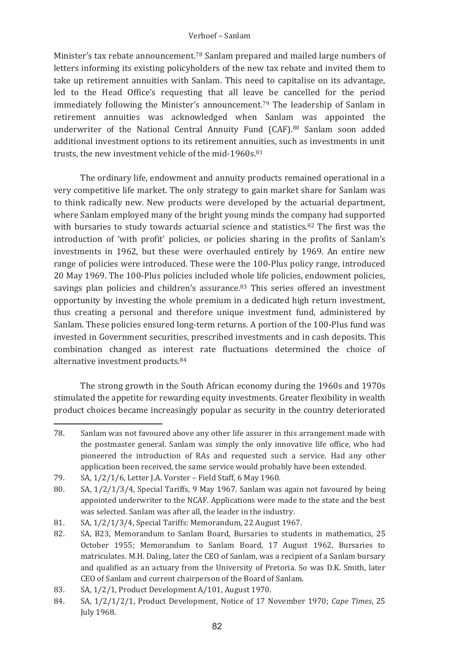Minister's tax rebate announcement.<sup>78</sup> Sanlam prepared and mailed large numbers of letters informing its existing policyholders of the new tax rebate and invited them to take up retirement annuities with Sanlam. This need to capitalise on its advantage, led to the Head Office's requesting that all leave be cancelled for the period immediately following the Minister's announcement.<sup>79</sup> The leadership of Sanlam in retirement annuities was acknowledged when Sanlam was appointed the underwriter of the National Central Annuity Fund (CAF).<sup>80</sup> Sanlam soon added additional investment options to its retirement annuities, such as investments in unit trusts, the new investment vehicle of the mid-1960s.<sup>81</sup>

The ordinary life, endowment and annuity products remained operational in a very competitive life market. The only strategy to gain market share for Sanlam was to think radically new. New products were developed by the actuarial department, where Sanlam employed many of the bright young minds the company had supported with bursaries to study towards actuarial science and statistics.<sup>82</sup> The first was the introduction of 'with profit' policies, or policies sharing in the profits of Sanlam's investments in 1962, but these were overhauled entirely by 1969. An entire new range of policies were introduced. These were the 100-Plus policy range, introduced 20 May 1969. The 100-Plus policies included whole life policies, endowment policies, savings plan policies and children's assurance.<sup>83</sup> This series offered an investment opportunity by investing the whole premium in a dedicated high return investment, thus creating a personal and therefore unique investment fund, administered by Sanlam. These policies ensured long-term returns. A portion of the 100-Plus fund was invested in Government securities, prescribed investments and in cash deposits. This combination changed as interest rate fluctuations determined the choice of alternative investment products.<sup>84</sup>

The strong growth in the South African economy during the 1960s and 1970s stimulated the appetite for rewarding equity investments. Greater flexibility in wealth product choices became increasingly popular as security in the country deteriorated

<sup>78.</sup> Sanlam was not favoured above any other life assurer in this arrangement made with the postmaster general. Sanlam was simply the only innovative life office, who had pioneered the introduction of RAs and requested such a service. Had any other application been received, the same service would probably have been extended.

<sup>79.</sup> SA, 1/2/1/6, Letter J.A. Vorster - Field Staff, 6 May 1960.

SA, 1/2/1/3/4, Special Tariffs, 9 May 1967. Sanlam was again not favoured by being  $80<sup>°</sup>$ appointed underwriter to the NCAF. Applications were made to the state and the best was selected. Sanlam was after all, the leader in the industry.

<sup>81.</sup> SA, 1/2/1/3/4, Special Tariffs: Memorandum, 22 August 1967.

<sup>82.</sup> SA, B23, Memorandum to Sanlam Board, Bursaries to students in mathematics, 25 October 1955; Memorandum to Sanlam Board, 17 August 1962, Bursaries to matriculates. M.H. Daling, later the CEO of Sanlam, was a recipient of a Sanlam bursary and qualified as an actuary from the University of Pretoria. So was D.K. Smith, later CEO of Sanlam and current chairperson of the Board of Sanlam.

<sup>83.</sup> SA, 1/2/1, Product Development A/101, August 1970.

<sup>84.</sup> SA, 1/2/1/2/1, Product Development, Notice of 17 November 1970; Cape Times, 25 **Iuly 1968.**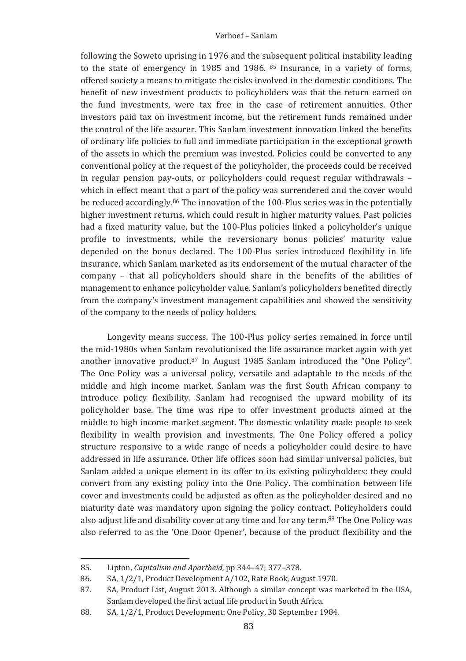following the Soweto uprising in 1976 and the subsequent political instability leading to the state of emergency in 1985 and 1986. <sup>85</sup> Insurance, in a variety of forms. offered society a means to mitigate the risks involved in the domestic conditions. The benefit of new investment products to policyholders was that the return earned on the fund investments, were tax free in the case of retirement annuities. Other investors paid tax on investment income, but the retirement funds remained under the control of the life assurer. This Sanlam investment innovation linked the benefits of ordinary life policies to full and immediate participation in the exceptional growth of the assets in which the premium was invested. Policies could be converted to any conventional policy at the request of the policyholder, the proceeds could be received in regular pension pay-outs, or policyholders could request regular withdrawals which in effect meant that a part of the policy was surrendered and the cover would be reduced accordingly.<sup>86</sup> The innovation of the 100-Plus series was in the potentially higher investment returns, which could result in higher maturity values. Past policies had a fixed maturity value, but the 100-Plus policies linked a policyholder's unique profile to investments, while the reversionary bonus policies' maturity value depended on the bonus declared. The 100-Plus series introduced flexibility in life insurance, which Sanlam marketed as its endorsement of the mutual character of the company - that all policyholders should share in the benefits of the abilities of management to enhance policyholder value. Sanlam's policyholders benefited directly from the company's investment management capabilities and showed the sensitivity of the company to the needs of policy holders.

Longevity means success. The 100-Plus policy series remained in force until the mid-1980s when Sanlam revolutionised the life assurance market again with yet another innovative product.87 In August 1985 Sanlam introduced the "One Policy". The One Policy was a universal policy, versatile and adaptable to the needs of the middle and high income market. Sanlam was the first South African company to introduce policy flexibility. Sanlam had recognised the upward mobility of its policyholder base. The time was ripe to offer investment products aimed at the middle to high income market segment. The domestic volatility made people to seek flexibility in wealth provision and investments. The One Policy offered a policy structure responsive to a wide range of needs a policyholder could desire to have addressed in life assurance. Other life offices soon had similar universal policies, but Sanlam added a unique element in its offer to its existing policyholders: they could convert from any existing policy into the One Policy. The combination between life cover and investments could be adjusted as often as the policyholder desired and no maturity date was mandatory upon signing the policy contract. Policyholders could also adjust life and disability cover at any time and for any term.<sup>88</sup> The One Policy was also referred to as the 'One Door Opener', because of the product flexibility and the

 $85$ Lipton, Capitalism and Apartheid, pp 344-47; 377-378.

<sup>86.</sup> SA, 1/2/1. Product Development A/102. Rate Book. August 1970.

<sup>87.</sup> SA, Product List, August 2013. Although a similar concept was marketed in the USA, Sanlam developed the first actual life product in South Africa.

<sup>88.</sup> SA, 1/2/1, Product Development: One Policy, 30 September 1984.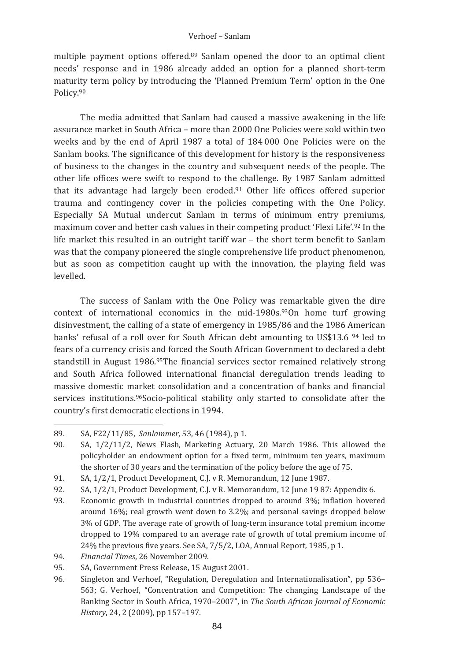multiple payment options offered.<sup>89</sup> Sanlam opened the door to an optimal client needs' response and in 1986 already added an option for a planned short-term maturity term policy by introducing the 'Planned Premium Term' option in the One Policy.90

The media admitted that Sanlam had caused a massive awakening in the life assurance market in South Africa – more than 2000 One Policies were sold within two weeks and by the end of April 1987 a total of 184 000 One Policies were on the Sanlam books. The significance of this development for history is the responsiveness of business to the changes in the country and subsequent needs of the people. The other life offices were swift to respond to the challenge. By 1987 Sanlam admitted that its advantage had largely been eroded.<sup>91</sup> Other life offices offered superior trauma and contingency cover in the policies competing with the One Policy. Especially SA Mutual undercut Sanlam in terms of minimum entry premiums, maximum cover and better cash values in their competing product 'Flexi Life'.92 In the life market this resulted in an outright tariff war - the short term benefit to Sanlam was that the company pioneered the single comprehensive life product phenomenon, but as soon as competition caught up with the innovation, the playing field was  $b$ allayal

The success of Sanlam with the One Policy was remarkable given the dire context of international economics in the mid-1980s. $93$ On home turf growing disinvestment, the calling of a state of emergency in 1985/86 and the 1986 American banks' refusal of a roll over for South African debt amounting to US\$13.6<sup>94</sup> led to fears of a currency crisis and forced the South African Government to declared a debt standstill in August 1986.95The financial services sector remained relatively strong and South Africa followed international financial deregulation trends leading to massive domestic market consolidation and a concentration of banks and financial services institutions.<sup>96</sup>Socio-political stability only started to consolidate after the country's first democratic elections in 1994.

94. Financial Times, 26 November 2009.

<sup>89.</sup> SA, F22/11/85, Sanlammer, 53, 46 (1984), p 1.

<sup>90.</sup> SA, 1/2/11/2, News Flash, Marketing Actuary, 20 March 1986. This allowed the policyholder an endowment option for a fixed term, minimum ten years, maximum the shorter of 30 years and the termination of the policy before the age of 75.

<sup>91.</sup> SA, 1/2/1, Product Development, C.J. v R. Memorandum, 12 June 1987.

<sup>92.</sup> SA, 1/2/1. Product Development, C.I. v R. Memorandum, 12 June 19 87; Appendix 6.

<sup>93.</sup> Economic growth in industrial countries dropped to around 3%; inflation hovered around 16%; real growth went down to 3.2%; and personal savings dropped below 3% of GDP. The average rate of growth of long-term insurance total premium income dropped to 19% compared to an average rate of growth of total premium income of 24% the previous five years. See SA, 7/5/2, LOA, Annual Report, 1985, p 1.

<sup>95.</sup> SA, Government Press Release, 15 August 2001.

Singleton and Verhoef, "Regulation, Deregulation and Internationalisation", pp 536– 96. 563; G. Verhoef, "Concentration and Competition: The changing Landscape of the Banking Sector in South Africa, 1970-2007", in The South African Journal of Economic History, 24, 2 (2009), pp 157-197.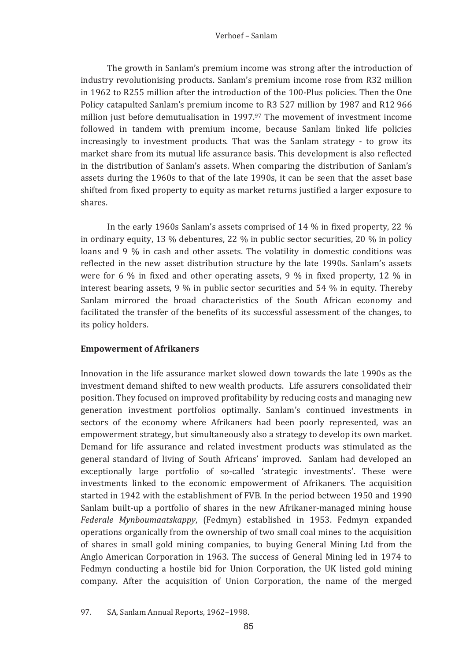The growth in Sanlam's premium income was strong after the introduction of industry revolutionising products. Sanlam's premium income rose from R32 million in 1962 to R255 million after the introduction of the 100-Plus policies. Then the One Policy catapulted Sanlam's premium income to R3 527 million by 1987 and R12 966 million just before demutualisation in 1997.97 The movement of investment income followed in tandem with premium income, because Sanlam linked life policies increasingly to investment products. That was the Sanlam strategy - to grow its market share from its mutual life assurance basis. This development is also reflected in the distribution of Sanlam's assets. When comparing the distribution of Sanlam's assets during the 1960s to that of the late 1990s, it can be seen that the asset base shifted from fixed property to equity as market returns justified a larger exposure to shares

In the early 1960s Sanlam's assets comprised of 14 % in fixed property, 22 % in ordinary equity, 13  $\%$  debentures, 22  $\%$  in public sector securities, 20  $\%$  in policy loans and 9 % in cash and other assets. The volatility in domestic conditions was reflected in the new asset distribution structure by the late 1990s. Sanlam's assets were for 6 % in fixed and other operating assets, 9 % in fixed property, 12 % in interest bearing assets,  $9\%$  in public sector securities and 54 % in equity. Thereby Sanlam mirrored the broad characteristics of the South African economy and facilitated the transfer of the benefits of its successful assessment of the changes, to its policy holders.

## **Empowerment of Afrikaners**

Innovation in the life assurance market slowed down towards the late 1990s as the investment demand shifted to new wealth products. Life assurers consolidated their position. They focused on improved profitability by reducing costs and managing new generation investment portfolios optimally. Sanlam's continued investments in sectors of the economy where Afrikaners had been poorly represented, was an empowerment strategy, but simultaneously also a strategy to develop its own market. Demand for life assurance and related investment products was stimulated as the general standard of living of South Africans' improved. Sanlam had developed an exceptionally large portfolio of so-called 'strategic investments'. These were investments linked to the economic empowerment of Afrikaners. The acquisition started in 1942 with the establishment of FVB. In the period between 1950 and 1990 Sanlam built-up a portfolio of shares in the new Afrikaner-managed mining house Federale Mynboumaatskappy, (Fedmyn) established in 1953. Fedmyn expanded operations organically from the ownership of two small coal mines to the acquisition of shares in small gold mining companies, to buying General Mining Ltd from the Anglo American Corporation in 1963. The success of General Mining led in 1974 to Fedmyn conducting a hostile bid for Union Corporation, the UK listed gold mining company. After the acquisition of Union Corporation, the name of the merged

<sup>97.</sup> SA. Sanlam Annual Reports, 1962-1998.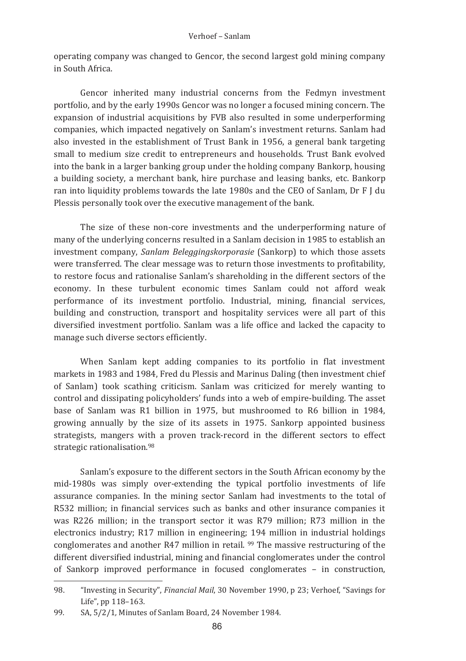operating company was changed to Gencor, the second largest gold mining company in South Africa.

Gencor inherited many industrial concerns from the Fedmyn investment portfolio, and by the early 1990s Gencor was no longer a focused mining concern. The expansion of industrial acquisitions by FVB also resulted in some underperforming companies, which impacted negatively on Sanlam's investment returns. Sanlam had also invested in the establishment of Trust Bank in 1956, a general bank targeting small to medium size credit to entrepreneurs and households. Trust Bank evolved into the bank in a larger banking group under the holding company Bankorp, housing a building society, a merchant bank, hire purchase and leasing banks, etc. Bankorp ran into liquidity problems towards the late 1980s and the CEO of Sanlam, Dr F J du Plessis personally took over the executive management of the bank.

The size of these non-core investments and the underperforming nature of many of the underlying concerns resulted in a Sanlam decision in 1985 to establish an investment company, Sanlam Beleggingskorporasie (Sankorp) to which those assets were transferred. The clear message was to return those investments to profitability, to restore focus and rationalise Sanlam's shareholding in the different sectors of the economy. In these turbulent economic times Sanlam could not afford weak performance of its investment portfolio. Industrial, mining, financial services, building and construction, transport and hospitality services were all part of this diversified investment portfolio. Sanlam was a life office and lacked the capacity to manage such diverse sectors efficiently.

When Sanlam kept adding companies to its portfolio in flat investment markets in 1983 and 1984. Fred du Plessis and Marinus Daling (then investment chief of Sanlam) took scathing criticism. Sanlam was criticized for merely wanting to control and dissipating policyholders' funds into a web of empire-building. The asset base of Sanlam was R1 billion in 1975, but mushroomed to R6 billion in 1984, growing annually by the size of its assets in 1975. Sankorp appointed business strategists, mangers with a proven track-record in the different sectors to effect strategic rationalisation.<sup>98</sup>

Sanlam's exposure to the different sectors in the South African economy by the mid-1980s was simply over-extending the typical portfolio investments of life assurance companies. In the mining sector Sanlam had investments to the total of R532 million; in financial services such as banks and other insurance companies it was R226 million; in the transport sector it was R79 million; R73 million in the electronics industry; R17 million in engineering; 194 million in industrial holdings conglomerates and another R47 million in retail. 99 The massive restructuring of the different diversified industrial, mining and financial conglomerates under the control of Sankorp improved performance in focused conglomerates - in construction,

<sup>98</sup> "Investing in Security". Financial Mail. 30 November 1990, p 23: Verhoef. "Savings for Life", pp 118-163.

SA, 5/2/1, Minutes of Sanlam Board. 24 November 1984. 99.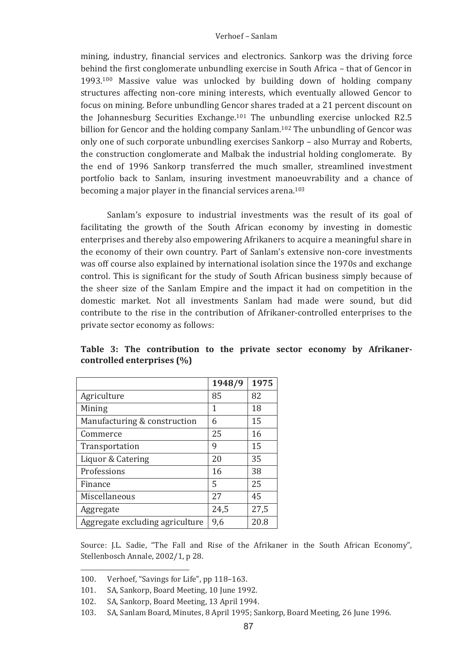mining, industry, financial services and electronics. Sankorp was the driving force behind the first conglomerate unbundling exercise in South Africa – that of Gencor in 1993.<sup>Iou</sup> Massive value was unlocked by building down of holding company structures affecting non-core mining interests, which eventually allowed Gencor to focus on mining. Before unbundling Gencor shares traded at a 21 percent discount on the Johannesburg Securities Exchange.<sup>101</sup> The unbundling exercise unlocked R2.5 billion for Gencor and the holding company Sanlam.<sup>102</sup> The unbundling of Gencor was only one of such corporate unbundling exercises Sankorp – also Murray and Roberts, the construction conglomerate and Malbak the industrial holding conglomerate. By the end of 1996 Sankorp transferred the much smaller, streamlined investment portfolio back to Sanlam, insuring investment manoeuvrability and a chance of becoming a major player in the financial services arena.<sup>103</sup>

Saniam's exposure to industrial investments was the result of its goal of facilitating the growth of the South African economy by investing in domestic enterprises and thereby also empowering Afrikaners to acquire a meaningful share in the economy of their own country. Part of Sanlam's extensive non-core investments was off course also explained by international isolation since the 1970s and exchange control. This is significant for the study of South African business simply because of the sheer size of the Sanlam Empire and the impact it had on competition in the domestic market. Not all investments Sanlam had made were sound, but did contribute to the rise in the contribution of Afrikaner-controlled enterprises to the private sector economy as follows:

|                                 | 1948/9 | 1975 |
|---------------------------------|--------|------|
| Agriculture                     | 85     | 82   |
| Mining                          | 1      | 18   |
| Manufacturing & construction    | 6      | 15   |
| Commerce                        | 25     | 16   |
| Transportation                  | 9      | 15   |
| Liquor & Catering               | 20     | 35   |
| Professions                     | 16     | 38   |
| Finance                         | 5      | 25   |
| Miscellaneous                   | 27     | 45   |
| Aggregate                       | 24,5   | 27,5 |
| Aggregate excluding agriculture | 9,6    | 20.8 |

Table 3: The contribution to the private sector economy by Afrikanercontrolled enterprises  $(\% )$ 

Source: J.L. Sadie, "The Fall and Rise of the Afrikaner in the South African Economy", Stellenbosch Annale, 2002/1, p 28.

<sup>100.</sup> Verhoef, "Savings for Life", pp 118-163.<br>101. SA. Sankorn, Board Meeting, 10 June 199

<sup>101.</sup> SA, Sankorp, Board Meeting, 10 June 1992.

<sup>102.</sup> SA, Sankorp, Board Meeting, 13 April 1994.

<sup>103. –</sup> SA, Sanlam Board, Minutes, 8 April 1995; Sankorp, Board Meeting, 26 June 1996.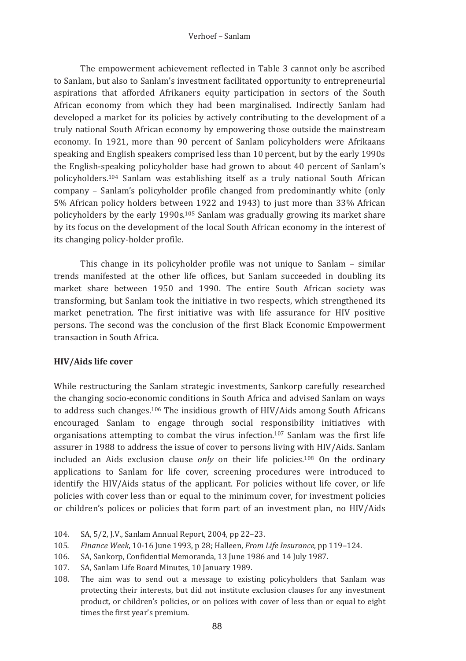The empowerment achievement reflected in Table 3 cannot only be ascribed to Sanlam, but also to Sanlam's investment facilitated opportunity to entrepreneurial aspirations that afforded Afrikaners equity participation in sectors of the South African economy from which they had been marginalised. Indirectly Sanlam had developed a market for its policies by actively contributing to the development of a truly national South African economy by empowering those outside the mainstream economy. In 1921, more than 90 percent of Sanlam policyholders were Afrikaans speaking and English speakers comprised less than 10 percent, but by the early 1990s the English-speaking policyholder base had grown to about 40 percent of Sanlam's policyholders.<sup>104</sup> Sanlam was establishing itself as a truly national South African company - Sanlam's policyholder profile changed from predominantly white (only 5% African policy holders between 1922 and 1943) to just more than 33% African policyholders by the early 1990s.<sup>105</sup> Sanlam was gradually growing its market share by its focus on the development of the local South African economy in the interest of its changing policy-holder profile.

This change in its policyholder profile was not unique to Sanlam - similar trends manifested at the other life offices, but Sanlam succeeded in doubling its market share between 1950 and 1990. The entire South African society was transforming, but Sanlam took the initiative in two respects, which strengthened its market penetration. The first initiative was with life assurance for HIV positive persons. The second was the conclusion of the first Black Economic Empowerment transaction in South Africa

## **HIV/Aids life cover**

While restructuring the Sanlam strategic investments. Sankorp carefully researched the changing socio-economic conditions in South Africa and advised Sanlam on ways to address such changes.<sup>106</sup> The insidious growth of HIV/Aids among South Africans encouraged Sanlam to engage through social responsibility initiatives with organisations attempting to combat the virus infection.<sup>107</sup> Sanlam was the first life assurer in 1988 to address the issue of cover to persons living with HIV/Aids. Sanlam included an Aids exclusion clause only on their life policies.<sup>108</sup> On the ordinary applications to Sanlam for life cover, screening procedures were introduced to identify the HIV/Aids status of the applicant. For policies without life cover, or life policies with cover less than or equal to the minimum cover, for investment policies or children's polices or policies that form part of an investment plan, no HIV/Aids

<sup>104.</sup> SA, 5/2, J.V., Sanlam Annual Report, 2004, pp 22-23.

<sup>105.</sup> Finance Week, 10-16 June 1993, p 28; Halleen, From Life Insurance, pp 119-124.

<sup>106.</sup> SA, Sankorp, Confidential Memoranda, 13 June 1986 and 14 July 1987.

 $107.$ SA, Sanlam Life Board Minutes, 10 January 1989.

The aim was to send out a message to existing policyholders that Sanlam was 108. protecting their interests, but did not institute exclusion clauses for any investment product, or children's policies, or on polices with cover of less than or equal to eight times the first year's premium.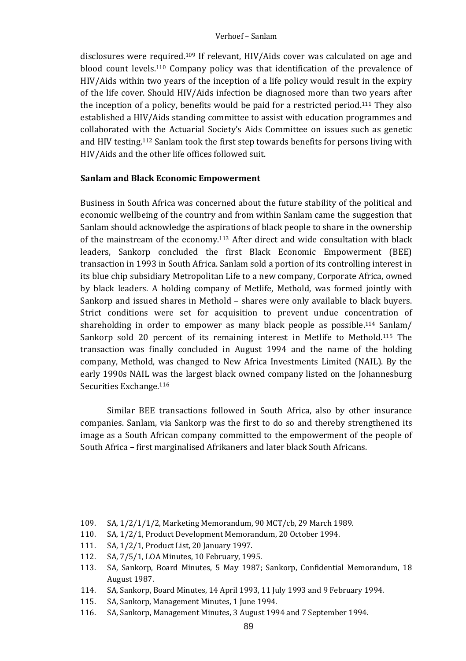disclosures were required.<sup>109</sup> If relevant, HIV/Aids cover was calculated on age and blood count levels.<sup>110</sup> Company policy was that identification of the prevalence of  $HIV/Aids$  within two vears of the inception of a life policy would result in the expiry of the life cover. Should HIV/Aids infection be diagnosed more than two years after the inception of a policy, benefits would be paid for a restricted period.<sup>111</sup> They also established a HIV/Aids standing committee to assist with education programmes and collaborated with the Actuarial Society's Aids Committee on issues such as genetic and HIV testing.<sup>112</sup> Sanlam took the first step towards benefits for persons living with HIV/Aids and the other life offices followed suit.

## **Sanlam and Black Economic Empowerment**

Business in South Africa was concerned about the future stability of the political and economic wellbeing of the country and from within Sanlam came the suggestion that Sanlam should acknowledge the aspirations of black people to share in the ownership of the mainstream of the economy.<sup>113</sup> After direct and wide consultation with black leaders, Sankorp concluded the first Black Economic Empowerment (BEE) transaction in 1993 in South Africa. Sanlam sold a portion of its controlling interest in its blue chip subsidiary Metropolitan Life to a new company, Corporate Africa, owned by black leaders. A holding company of Metlife, Methold, was formed jointly with Sankorp and issued shares in Methold  $-$  shares were only available to black buyers. Strict conditions were set for acquisition to prevent undue concentration of shareholding in order to empower as many black people as possible.<sup>114</sup> Sanlam/ Sankorp sold 20 percent of its remaining interest in Metlife to Methold.<sup>115</sup> The transaction was finally concluded in August 1994 and the name of the holding company, Methold, was changed to New Africa Investments Limited (NAIL). By the early 1990s NAIL was the largest black owned company listed on the Johannesburg Securities Exchange.<sup>116</sup>

Similar BEE transactions followed in South Africa, also by other insurance companies. Sanlam, via Sankorp was the first to do so and thereby strengthened its image as a South African company committed to the empowerment of the people of South Africa – first marginalised Afrikaners and later black South Africans.

<sup>109.</sup> SA,  $1/2/1/1/2$ , Marketing Memorandum, 90 MCT/cb, 29 March 1989.<br>110. SA,  $1/2/1$ . Product Development Memorandum, 20 October 1994.

SA, 1/2/1, Product Development Memorandum, 20 October 1994.

<sup>111.</sup> SA, 1/2/1, Product List, 20 January 1997.<br>112. SA, 7/5/1, LOA Minutes, 10 February, 199

<sup>112.</sup> SA, 7/5/1, LOA Minutes, 10 February, 1995.<br>113. SA, Sankorn, Board Minutes, 5 May 1987.

SA, Sankorp, Board Minutes, 5 May 1987; Sankorp, Confidential Memorandum, 18 August 1987.

<sup>114.</sup> SA, Sankorp, Board Minutes, 14 April 1993, 11 July 1993 and 9 February 1994. 

<sup>115.</sup> SA, Sankorp, Management Minutes, 1 June 1994.<br>116. SA, Sankorn, Management Minutes, 3 August 199

SA, Sankorp, Management Minutes, 3 August 1994 and 7 September 1994.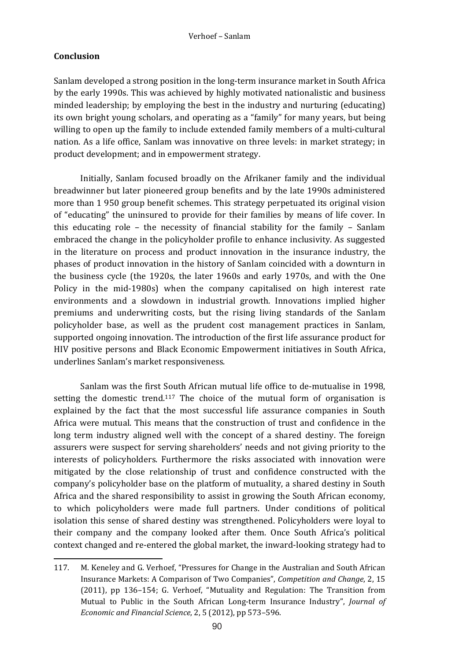# **Conclusion**

Sanlam developed a strong position in the long-term insurance market in South Africa by the early 1990s. This was achieved by highly motivated nationalistic and business minded leadership; by employing the best in the industry and nurturing  $\alpha$  (educating) its own bright young scholars, and operating as a "family" for many years, but being willing to open up the family to include extended family members of a multi-cultural nation. As a life office, Sanlam was innovative on three levels: in market strategy; in product development; and in empowerment strategy.

Initially, Sanlam focused broadly on the Afrikaner family and the individual breadwinner but later pioneered group benefits and by the late 1990s administered more than 1 950 group benefit schemes. This strategy perpetuated its original vision of "educating" the uninsured to provide for their families by means of life cover. In this educating role – the necessity of financial stability for the family – Sanlam embraced the change in the policyholder profile to enhance inclusivity. As suggested in the literature on process and product innovation in the insurance industry, the phases of product innovation in the history of Sanlam coincided with a downturn in the business cycle (the  $1920s$ , the later  $1960s$  and early 1970s, and with the One Policy in the mid-1980s) when the company capitalised on high interest rate environments and a slowdown in industrial growth. Innovations implied higher premiums and underwriting costs, but the rising living standards of the Sanlam policyholder base, as well as the prudent cost management practices in Sanlam, supported ongoing innovation. The introduction of the first life assurance product for HIV positive persons and Black Economic Empowerment initiatives in South Africa, underlines Sanlam's market responsiveness.

Sanlam was the first South African mutual life office to de-mutualise in 1998. setting the domestic trend.<sup>117</sup> The choice of the mutual form of organisation is explained by the fact that the most successful life assurance companies in South Africa were mutual. This means that the construction of trust and confidence in the long term industry aligned well with the concept of a shared destiny. The foreign assurers were suspect for serving shareholders' needs and not giving priority to the interests of policyholders. Furthermore the risks associated with innovation were mitigated by the close relationship of trust and confidence constructed with the company's policyholder base on the platform of mutuality, a shared destiny in South Africa and the shared responsibility to assist in growing the South African economy, to which policyholders were made full partners. Under conditions of political isolation this sense of shared destiny was strengthened. Policyholders were loyal to their company and the company looked after them. Once South Africa's political context changed and re-entered the global market, the inward-looking strategy had to

 117. M. Keneley and G. Verhoef. "Pressures for Change in the Australian and South African Insurance Markets: A Comparison of Two Companies", *Competition and Change*, 2, 15  $(2011)$ , pp  $136-154$ ; G. Verhoef, "Mutuality and Regulation: The Transition from Mutual to Public in the South African Long-term Insurance Industry", *Journal of Economic and Financial Science*, 2, 5 (2012), pp 573–596.